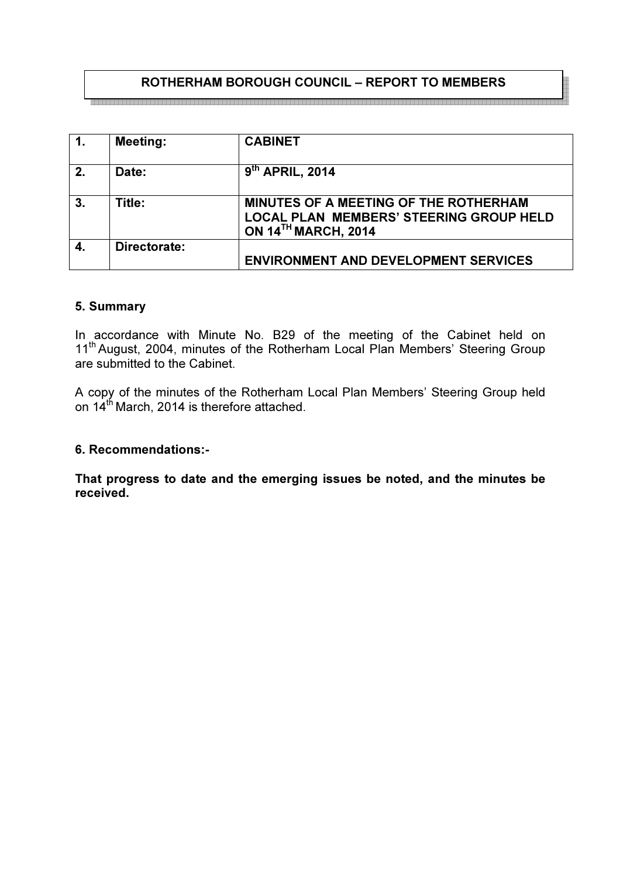# ROTHERHAM BOROUGH COUNCIL – REPORT TO MEMBERS

a la katala la katala la katala katala katala katala katala katala katala katala katala katala katala katala ka

| $\mathbf{1}$ | <b>Meeting:</b> | <b>CABINET</b>                                                                                                        |
|--------------|-----------------|-----------------------------------------------------------------------------------------------------------------------|
| 2.           | Date:           | 9th APRIL, 2014                                                                                                       |
| 3.           | Title:          | MINUTES OF A MEETING OF THE ROTHERHAM<br><b>LOCAL PLAN MEMBERS' STEERING GROUP HELD</b><br><b>ON 14TH MARCH, 2014</b> |
|              | Directorate:    | <b>ENVIRONMENT AND DEVELOPMENT SERVICES</b>                                                                           |

#### 5. Summary

In accordance with Minute No. B29 of the meeting of the Cabinet held on 11<sup>th</sup> August, 2004, minutes of the Rotherham Local Plan Members' Steering Group are submitted to the Cabinet.

A copy of the minutes of the Rotherham Local Plan Members' Steering Group held on 14<sup>th</sup> March, 2014 is therefore attached.

#### 6. Recommendations:-

That progress to date and the emerging issues be noted, and the minutes be received.